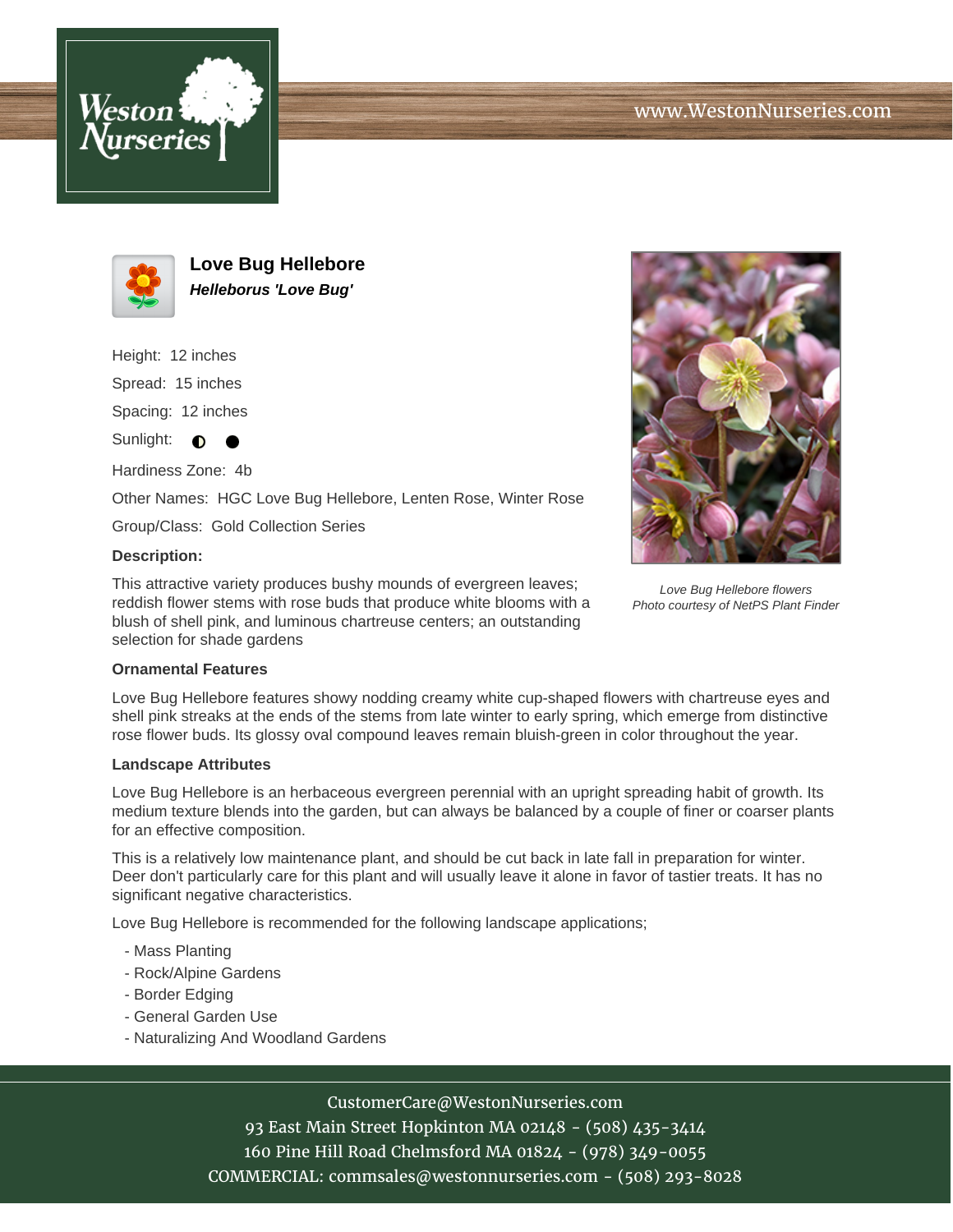



**Love Bug Hellebore Helleborus 'Love Bug'**

Height: 12 inches Spread: 15 inches

Spacing: 12 inches

Sunlight:  $\bullet$  $\bullet$ 

Hardiness Zone: 4b

Other Names: HGC Love Bug Hellebore, Lenten Rose, Winter Rose

Group/Class: Gold Collection Series

## **Description:**

This attractive variety produces bushy mounds of evergreen leaves; reddish flower stems with rose buds that produce white blooms with a blush of shell pink, and luminous chartreuse centers; an outstanding selection for shade gardens



Love Bug Hellebore flowers Photo courtesy of NetPS Plant Finder

## **Ornamental Features**

Love Bug Hellebore features showy nodding creamy white cup-shaped flowers with chartreuse eyes and shell pink streaks at the ends of the stems from late winter to early spring, which emerge from distinctive rose flower buds. Its glossy oval compound leaves remain bluish-green in color throughout the year.

#### **Landscape Attributes**

Love Bug Hellebore is an herbaceous evergreen perennial with an upright spreading habit of growth. Its medium texture blends into the garden, but can always be balanced by a couple of finer or coarser plants for an effective composition.

This is a relatively low maintenance plant, and should be cut back in late fall in preparation for winter. Deer don't particularly care for this plant and will usually leave it alone in favor of tastier treats. It has no significant negative characteristics.

Love Bug Hellebore is recommended for the following landscape applications;

- Mass Planting
- Rock/Alpine Gardens
- Border Edging
- General Garden Use
- Naturalizing And Woodland Gardens

# CustomerCare@WestonNurseries.com

93 East Main Street Hopkinton MA 02148 - (508) 435-3414 160 Pine Hill Road Chelmsford MA 01824 - (978) 349-0055 COMMERCIAL: commsales@westonnurseries.com - (508) 293-8028